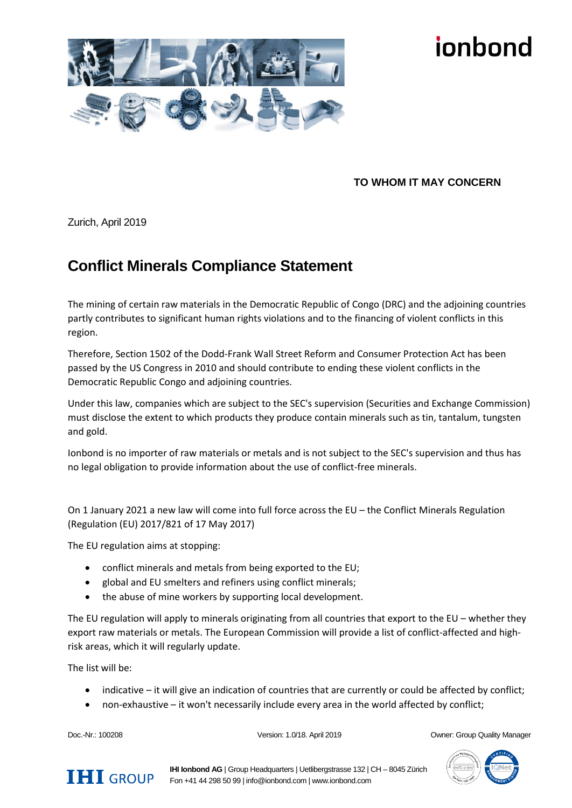

## innhond

## **TO WHOM IT MAY CONCERN**

Zurich, April 2019

## **Conflict Minerals Compliance Statement**

The mining of certain raw materials in the Democratic Republic of Congo (DRC) and the adjoining countries partly contributes to significant human rights violations and to the financing of violent conflicts in this region.

Therefore, Section 1502 of the Dodd-Frank Wall Street Reform and Consumer Protection Act has been passed by the US Congress in 2010 and should contribute to ending these violent conflicts in the Democratic Republic Congo and adjoining countries.

Under this law, companies which are subject to the SEC's supervision (Securities and Exchange Commission) must disclose the extent to which products they produce contain minerals such as tin, tantalum, tungsten and gold.

Ionbond is no importer of raw materials or metals and is not subject to the SEC's supervision and thus has no legal obligation to provide information about the use of conflict-free minerals.

On 1 January 2021 a new law will come into full force across the EU – the Conflict Minerals Regulation (Regulation (EU) 2017/821 of 17 May 2017)

The EU regulation aims at stopping:

- conflict minerals and metals from being exported to the EU;
- global and EU smelters and refiners using conflict minerals;
- the abuse of mine workers by supporting local development.

The EU regulation will apply to minerals originating from all countries that export to the EU – whether they export raw materials or metals. The European Commission will provide a list of conflict-affected and highrisk areas, which it will regularly update.

The list will be:

- indicative it will give an indication of countries that are currently or could be affected by conflict;
- non-exhaustive it won't necessarily include every area in the world affected by conflict;

Doc.-Nr.: 100208 Version: 1.0/18. April 2019 Owner: Group Quality Manager